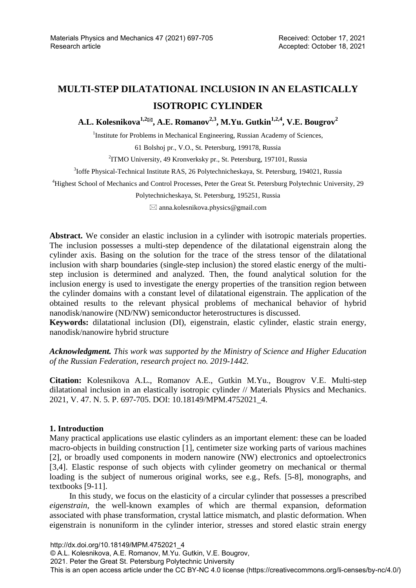# **MULTI-STEP DILATATIONAL INCLUSION IN AN ELASTICALLY ISOTROPIC CYLINDER**

A.L. Kolesnikova<sup>1,2⊠</sup>, A.E. Romanov<sup>2,3</sup>, M.Yu. Gutkin<sup>1,2,4</sup>, V.E. Bougrov<sup>2</sup>

<sup>1</sup>Institute for Problems in Mechanical Engineering, Russian Academy of Sciences,

61 Bolshoj pr., V.O., St. Petersburg, 199178, Russia

<sup>2</sup>ITMO University, 49 Kronverksky pr., St. Petersburg, 197101, Russia

<sup>3</sup>Ioffe Physical-Technical Institute RAS, 26 Polytechnicheskaya, St. Petersburg, 194021, Russia

4 Highest School of Mechanics and Control Processes, Peter the Great St. Petersburg Polytechnic University, 29

Polytechnicheskaya, St. Petersburg, 195251, Russia

 $\boxtimes$  anna.kolesnikova.physics@gmail.com

**Abstract.** We consider an elastic inclusion in a cylinder with isotropic materials properties. The inclusion possesses a multi-step dependence of the dilatational eigenstrain along the cylinder axis. Basing on the solution for the trace of the stress tensor of the dilatational inclusion with sharp boundaries (single-step inclusion) the stored elastic energy of the multistep inclusion is determined and analyzed. Then, the found analytical solution for the inclusion energy is used to investigate the energy properties of the transition region between the cylinder domains with a constant level of dilatational eigenstrain. The application of the obtained results to the relevant physical problems of mechanical behavior of hybrid nanodisk/nanowire (ND/NW) semiconductor heterostructures is discussed.

**Keywords:** dilatational inclusion (DI), eigenstrain, elastic cylinder, elastic strain energy, nanodisk/nanowire hybrid structure

*Acknowledgment. This work was supported by the Ministry of Science and Higher Education of the Russian Federation, research project no. 2019-1442.* 

**Citation:** Kolesnikova A.L., Romanov A.E., Gutkin M.Yu., Bougrov V.E. Multi-step dilatational inclusion in an elastically isotropic cylinder // Materials Physics and Mechanics. 2021, V. 47. N. 5. P. 697-705. DOI: 10.18149/MPM.4752021\_4.

## **1. Introduction**

Many practical applications use elastic cylinders as an important element: these can be loaded macro-objects in building construction [1], centimeter size working parts of various machines [2], or broadly used components in modern nanowire (NW) electronics and optoelectronics [3,4]. Elastic response of such objects with cylinder geometry on mechanical or thermal loading is the subject of numerous original works, see e.g., Refs. [5-8], monographs, and textbooks [9-11].

In this study, we focus on the elasticity of a circular cylinder that possesses a prescribed *eigenstrain,* the well-known examples of which are thermal expansion, deformation associated with phase transformation, crystal lattice mismatch, and plastic deformation. When eigenstrain is nonuniform in the cylinder interior, stresses and stored elastic strain energy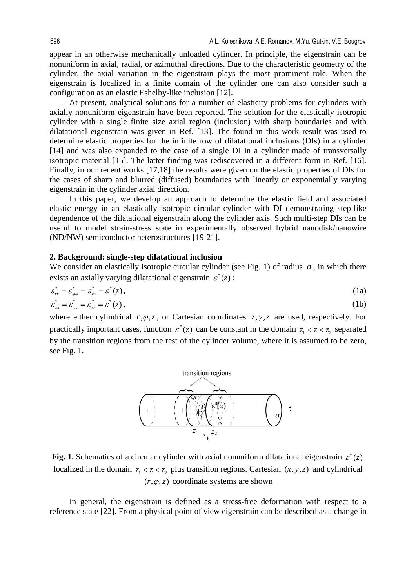appear in an otherwise mechanically unloaded cylinder. In principle, the eigenstrain can be nonuniform in axial, radial, or azimuthal directions. Due to the characteristic geometry of the cylinder, the axial variation in the eigenstrain plays the most prominent role. When the eigenstrain is localized in a finite domain of the cylinder one can also consider such a configuration as an elastic Eshelby-like inclusion [12].

At present, analytical solutions for a number of elasticity problems for cylinders with axially nonuniform eigenstrain have been reported. The solution for the elastically isotropic cylinder with a single finite size axial region (inclusion) with sharp boundaries and with dilatational eigenstrain was given in Ref. [13]. The found in this work result was used to determine elastic properties for the infinite row of dilatational inclusions (DIs) in a cylinder [14] and was also expanded to the case of a single DI in a cylinder made of transversally isotropic material [15]. The latter finding was rediscovered in a different form in Ref. [16]. Finally, in our recent works [17,18] the results were given on the elastic properties of DIs for the cases of sharp and blurred (diffused) boundaries with linearly or exponentially varying eigenstrain in the cylinder axial direction.

In this paper, we develop an approach to determine the elastic field and associated elastic energy in an elastically isotropic circular cylinder with DI demonstrating step-like dependence of the dilatational eigenstrain along the cylinder axis. Such multi-step DIs can be useful to model strain-stress state in experimentally observed hybrid nanodisk/nanowire (ND/NW) semiconductor heterostructures [19-21].

#### **2. Background: single-step dilatational inclusion**

We consider an elastically isotropic circular cylinder (see Fig. 1) of radius  $a$ , in which there exists an axially varying dilatational eigenstrain  $\varepsilon^*(z)$ :

$$
\varepsilon_{rr}^* = \varepsilon_{\varphi\varphi}^* = \varepsilon_{zz}^* = \varepsilon^*(z),
$$
\n(1a)  
\n
$$
\varepsilon_{xx}^* = \varepsilon_{yy}^* = \varepsilon_{zz}^* = \varepsilon^*(z),
$$
\n(1b)

where either cylindrical  $r, \varphi, z$ , or Cartesian coordinates  $z, y, z$  are used, respectively. For practically important cases, function  $\varepsilon^*(z)$  can be constant in the domain  $z_1 < z < z_2$  separated by the transition regions from the rest of the cylinder volume, where it is assumed to be zero, see Fig. 1.



**Fig. 1.** Schematics of a circular cylinder with axial nonuniform dilatational eigenstrain  $\varepsilon^*(z)$ localized in the domain  $z_1 < z < z_2$  plus transition regions. Cartesian  $(x, y, z)$  and cylindrical  $(r, \varphi, z)$  coordinate systems are shown

In general, the eigenstrain is defined as a stress-free deformation with respect to a reference state [22]. From a physical point of view eigenstrain can be described as a change in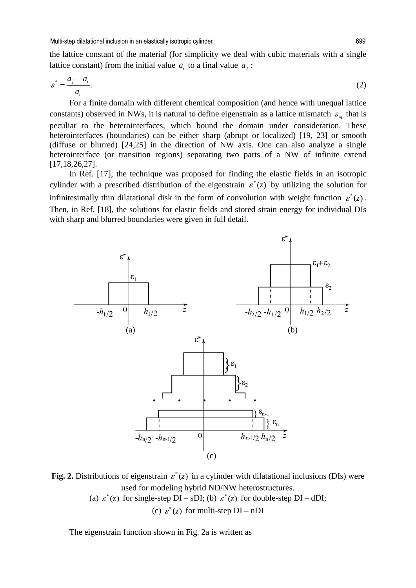the lattice constant of the material (for simplicity we deal with cubic materials with a single lattice constant) from the initial value  $a_i$  to a final value  $a_f$ :

$$
\varepsilon^* = \frac{a_f - a_i}{a_i}.\tag{2}
$$

For a finite domain with different chemical composition (and hence with unequal lattice constants) observed in NWs, it is natural to define eigenstrain as a lattice mismatch  $\varepsilon_m$  that is peculiar to the heterointerfaces, which bound the domain under consideration. These heterointerfaces (boundaries) can be either sharp (abrupt or localized) [19, 23] or smooth (diffuse or blurred) [24,25] in the direction of NW axis. One can also analyze a single heterointerface (or transition regions) separating two parts of a NW of infinite extend [17,18,26,27].

In Ref. [17], the technique was proposed for finding the elastic fields in an isotropic cylinder with a prescribed distribution of the eigenstrain  $\varepsilon^*(z)$  by utilizing the solution for infinitesimally thin dilatational disk in the form of convolution with weight function  $\varepsilon^*(z)$ . Then, in Ref. [18], the solutions for elastic fields and stored strain energy for individual DIs with sharp and blurred boundaries were given in full detail.



**Fig. 2.** Distributions of eigenstrain  $\varepsilon^*(z)$  in a cylinder with dilatational inclusions (DIs) were used for modeling hybrid ND/NW heterostructures.

(a)  $\varepsilon^*(z)$  for single-step DI – sDI; (b)  $\varepsilon^*(z)$  for double-step DI – dDI;

(c)  $\varepsilon^*(z)$  for multi-step DI – nDI

The eigenstrain function shown in Fig. 2a is written as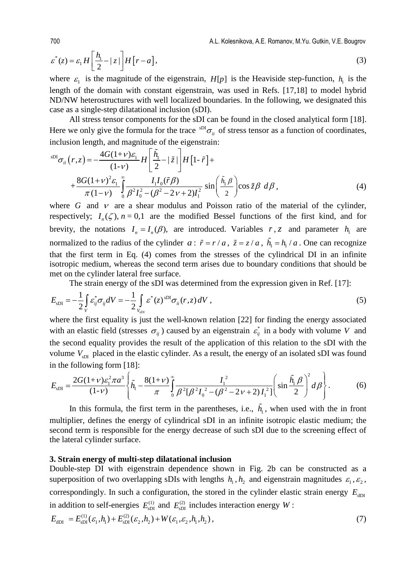700 A.L. Kolesnikova, A.E. Romanov, M.Yu. Gutkin, V.E. Bougrov

$$
\varepsilon^*(z) = \varepsilon_1 H \left[ \frac{h_1}{2} - |z| \right] H \left[ r - a \right],\tag{3}
$$

where  $\varepsilon_1$  is the magnitude of the eigenstrain,  $H[p]$  is the Heaviside step-function,  $h_1$  is the length of the domain with constant eigenstrain, was used in Refs. [17,18] to model hybrid ND/NW heterostructures with well localized boundaries. In the following, we designated this case as a single-step dilatational inclusion (sDI).

All stress tensor components for the sDI can be found in the closed analytical form [18]. Here we only give the formula for the trace  ${}^{SDI}\sigma_{ij}$  of stress tensor as a function of coordinates, inclusion length, and magnitude of the eigenstrain:

$$
{}^{\text{SDI}}\sigma_{ii}(r,z) = -\frac{4G(1+\nu)\varepsilon_1}{(1-\nu)} H\left[\frac{\tilde{h}_1}{2} - \frac{z}{2}\right] H\left[1-\tilde{r}\right] + \\ + \frac{8G(1+\nu)^2 \varepsilon_1}{\pi(1-\nu)} \int_0^\infty \frac{I_1 I_0(\tilde{r}\beta)}{\beta^2 I_0^2 - (\beta^2 - 2\nu + 2)I_1^2} \sin\left(\frac{\tilde{h}_1 \beta}{2}\right) \cos \tilde{z} \beta \, d\beta, \tag{4}
$$

where *G* and  $\nu$  are a shear modulus and Poisson ratio of the material of the cylinder, respectively;  $I_n(\zeta)$ ,  $n = 0,1$  are the modified Bessel functions of the first kind, and for brevity, the notations  $I_n = I_n(\beta)$ , are introduced. Variables  $r, z$  and parameter  $h_1$  are normalized to the radius of the cylinder *a* :  $\tilde{r} = r/a$ ,  $\tilde{z} = z/a$ ,  $\tilde{h}_1 = h_1/a$ . One can recognize that the first term in Eq. (4) comes from the stresses of the cylindrical DI in an infinite isotropic medium, whereas the second term arises due to boundary conditions that should be met on the cylinder lateral free surface.

The strain energy of the sDI was determined from the expression given in Ref. [17]:

$$
E_{\rm sDI} = -\frac{1}{2} \int_{V} \varepsilon_{ij}^{*} \sigma_{ij} dV = -\frac{1}{2} \int_{V_{\rm sDI}} \varepsilon^{*}(z)^{\rm sDI} \sigma_{ii}(r, z) dV , \qquad (5)
$$

where the first equality is just the well-known relation [22] for finding the energy associated with an elastic field (stresses  $\sigma_{ij}$ ) caused by an eigenstrain  $\varepsilon_{ij}^*$  in a body with volume *V* and the second equality provides the result of the application of this relation to the sDI with the volume *V*<sub>SDI</sub> placed in the elastic cylinder. As a result, the energy of an isolated sDI was found in the following form [18]:

$$
E_{\rm sDI} = \frac{2G(1+\nu)\varepsilon_1^2 \pi a^3}{(1-\nu)} \left\{ \tilde{h}_1 - \frac{8(1+\nu)}{\pi} \int_0^\infty \frac{I_1^2}{\beta^2 [\beta^2 I_0^2 - (\beta^2 - 2\nu + 2)I_1^2]} \left( \sin \frac{\tilde{h}_1 \beta}{2} \right)^2 d\beta \right\}.
$$
 (6)

In this formula, the first term in the parentheses, i.e.,  $\tilde{h}_1$ , when used with the in front multiplier, defines the energy of cylindrical sDI in an infinite isotropic elastic medium; the second term is responsible for the energy decrease of such sDI due to the screening effect of the lateral cylinder surface.

#### **3. Strain energy of multi-step dilatational inclusion**

Double-step DI with eigenstrain dependence shown in Fig. 2b can be constructed as a superposition of two overlapping sDIs with lengths  $h_1$ ,  $h_2$  and eigenstrain magnitudes  $\varepsilon_1$ ,  $\varepsilon_2$ , correspondingly. In such a configuration, the stored in the cylinder elastic strain energy  $E_{dD}$ in addition to self-energies  $E_{\text{spl}}^{(1)}$  and  $E_{\text{spl}}^{(2)}$  includes interaction energy *W* :

$$
E_{\text{dDI}} = E_{\text{SDI}}^{(1)}(\varepsilon_1, h_1) + E_{\text{SDI}}^{(2)}(\varepsilon_2, h_2) + W(\varepsilon_1, \varepsilon_2, h_1, h_2), \tag{7}
$$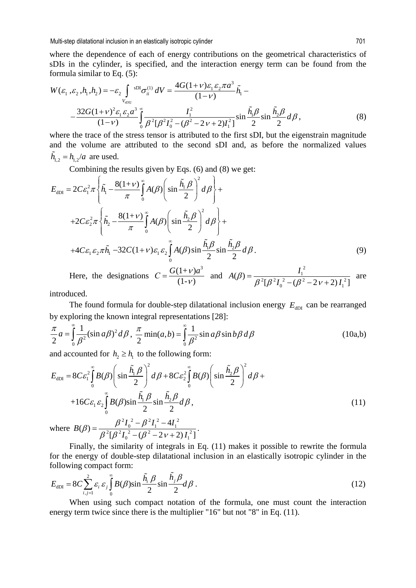where the dependence of each of energy contributions on the geometrical characteristics of sDIs in the cylinder, is specified, and the interaction energy term can be found from the formula similar to Eq. (5):

$$
W(\varepsilon_1, \varepsilon_2, h_1, h_2) = -\varepsilon_2 \int_{V_{\text{SD2}}} \mathrm{sDI}_{\sigma_{ii}^{(1)}} dV = \frac{4G(1+\nu)\varepsilon_1 \varepsilon_2 \pi a^3}{(1-\nu)} \tilde{h}_1 -
$$
  
 
$$
-\frac{32G(1+\nu)^2 \varepsilon_1 \varepsilon_2 a^3}{(1-\nu)} \int_0^{\infty} \frac{I_1^2}{\beta^2 [\beta^2 I_0^2 - (\beta^2 - 2\nu + 2)I_1^2]} \sin \frac{\tilde{h}_1 \beta}{2} \sin \frac{\tilde{h}_2 \beta}{2} d\beta,
$$
 (8)

where the trace of the stress tensor is attributed to the first sDI, but the eigenstrain magnitude and the volume are attributed to the second sDI and, as before the normalized values  $\tilde{h}_{12} = h_{12}/a$  are used.

Combining the results given by Eqs. (6) and (8) we get:

$$
E_{\text{dDI}} = 2C\varepsilon_1^2 \pi \left\{ \tilde{h}_1 - \frac{8(1+\nu)}{\pi} \int_0^\infty A(\beta) \left( \sin \frac{\tilde{h}_1 \beta}{2} \right)^2 d\beta \right\} +
$$
  
+2C\varepsilon\_2^2 \pi \left\{ \tilde{h}\_2 - \frac{8(1+\nu)}{\pi} \int\_0^\infty A(\beta) \left( \sin \frac{\tilde{h}\_2 \beta}{2} \right)^2 d\beta \right\} +  
+4C\varepsilon\_1 \varepsilon\_2 \pi \tilde{h}\_1 - 32C(1+\nu)\varepsilon\_1 \varepsilon\_2 \int\_0^\infty A(\beta) \sin \frac{\tilde{h}\_1 \beta}{2} \sin \frac{\tilde{h}\_2 \beta}{2} d\beta. (9)

Here, the designations  $C = \frac{G(1+v)a^3}{(1+v)}$  $C = \frac{G(1 + v)a^3}{(1 - v)}$  and 2 1  $^{2}$ [ $^{2}$ ]<sup>2</sup>  $^{2}$   $^{2}$   $^{2}$   $^{2}$   $^{2}$   $^{2}$  $A(\beta) = \frac{I_1^2}{\beta^2 [\beta^2 I_0^2 - (\beta^2 - 2\nu + 2)I_1^2]}$  are

introduced.

The found formula for double-step dilatational inclusion energy  $E_{dDI}$  can be rearranged by exploring the known integral representations [28]:

$$
\frac{\pi}{2}a = \int_{0}^{\infty} \frac{1}{\beta^2} (\sin a\beta)^2 d\beta, \frac{\pi}{2} \min(a, b) = \int_{0}^{\infty} \frac{1}{\beta^2} \sin a\beta \sin b\beta d\beta
$$
\n(10a,b)

and accounted for  $h_2 \geq h_1$  to the following form:

$$
E_{\text{dDI}} = 8C\varepsilon_1^2 \int_0^\infty B(\beta) \left( \sin \frac{\tilde{h}_1 \beta}{2} \right)^2 d\beta + 8C\varepsilon_2^2 \int_0^\infty B(\beta) \left( \sin \frac{\tilde{h}_2 \beta}{2} \right)^2 d\beta +
$$
  
+16C\varepsilon\_1 \varepsilon\_2 \int\_0^\infty B(\beta) \sin \frac{\tilde{h}\_1 \beta}{2} \sin \frac{\tilde{h}\_2 \beta}{2} d\beta,   
where  $B(\beta) = \frac{\beta^2 I_0^2 - \beta^2 I_1^2 - 4I_1^2}{2}$ . (11)

where  $^{2}$ [ $^{2}$ ]<sup>2</sup>  $^{2}$   $^{2}$   $^{2}$   $^{2}$   $^{2}$   $^{2}$  $(\beta) = \frac{\beta^2 I_0^2 - \beta^2 I_1^2 - 4I_1^2}{\beta^2 [\beta^2 I_0^2 - (\beta^2 - 2v + 2)I_1^2]}$ 

Finally, the similarity of integrals in Eq. (11) makes it possible to rewrite the formula for the energy of double-step dilatational inclusion in an elastically isotropic cylinder in the following compact form:

$$
E_{\text{dDI}} = 8C \sum_{i,j=1}^{2} \varepsilon_{i} \varepsilon_{j} \int_{0}^{\infty} B(\beta) \sin \frac{\tilde{h}_{i} \beta}{2} \sin \frac{\tilde{h}_{j} \beta}{2} d\beta.
$$
 (12)

When using such compact notation of the formula, one must count the interaction energy term twice since there is the multiplier "16" but not "8" in Eq. (11).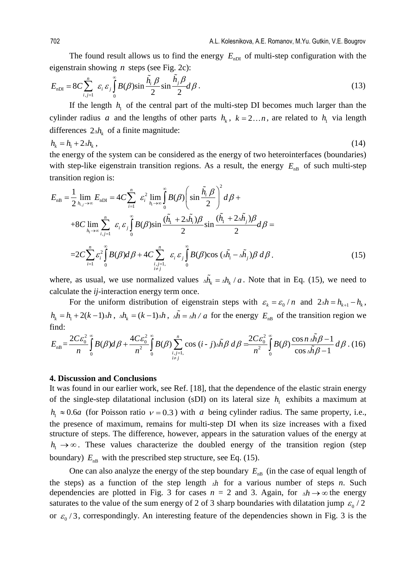The found result allows us to find the energy  $E_{\text{nDI}}$  of multi-step configuration with the eigenstrain showing *n* steps (see Fig. 2c):

$$
E_{\text{nDI}} = 8C \sum_{i,j=1}^{n} \varepsilon_i \varepsilon_j \int_0^{\infty} B(\beta) \sin \frac{\tilde{h}_i \beta}{2} \sin \frac{\tilde{h}_j \beta}{2} d\beta.
$$
 (13)

If the length  $h_1$  of the central part of the multi-step DI becomes much larger than the cylinder radius *a* and the lengths of other parts  $h_k$ ,  $k = 2...n$ , are related to  $h_l$  via length differences  $2\Delta h_k$  of a finite magnitude:

$$
h_k = h_1 + 2\Delta h_k \,,\tag{14}
$$

the energy of the system can be considered as the energy of two heterointerfaces (boundaries) with step-like eigenstrain transition regions. As a result, the energy  $E_{nB}$  of such multi-step transition region is:

$$
E_{\text{nB}} = \frac{1}{2} \lim_{h_{i,j} \to \infty} E_{\text{nDI}} = 4C \sum_{i=1}^{n} \varepsilon_{i}^{2} \lim_{h_{i} \to \infty} \int_{0}^{\infty} B(\beta) \left( \sin \frac{\tilde{h}_{i} \beta}{2} \right)^{2} d\beta +
$$
  
+8C 
$$
\lim_{h_{i} \to \infty} \sum_{i,j=1}^{n} \varepsilon_{i} \varepsilon_{j} \int_{0}^{a} B(\beta) \sin \frac{(\tilde{h}_{i} + 2\Delta \tilde{h}_{i})\beta}{2} \sin \frac{(\tilde{h}_{i} + 2\Delta \tilde{h}_{j})\beta}{2} d\beta =
$$
  
= 
$$
2C \sum_{i=1}^{n} \varepsilon_{i}^{2} \int_{0}^{\infty} B(\beta) d\beta + 4C \sum_{i,j=1, \atop i \neq j}^{n} \varepsilon_{i} \varepsilon_{j} \int_{0}^{\infty} B(\beta) \cos (\Delta \tilde{h}_{i} - \Delta \tilde{h}_{j}) \beta d\beta.
$$
 (15)

where, as usual, we use normalized values  $\Delta h_k = \Delta h_k / a$ . Note that in Eq. (15), we need to calculate the *ij*-interaction energy term once.

For the uniform distribution of eigenstrain steps with  $\varepsilon_k = \varepsilon_0 / n$  and  $2\Delta h = h_{k+1} - h_k$ ,  $h_k = h_1 + 2(k-1)\Delta h$ ,  $\Delta h_k = (k-1)\Delta h$ ,  $\Delta h = \Delta h/a$  for the energy  $E_{nB}$  of the transition region we find:

$$
E_{\text{nB}} = \frac{2C\varepsilon_0^2}{n} \int_0^\infty B(\beta) d\beta + \frac{4C\varepsilon_0^2}{n^2} \int_0^\infty B(\beta) \sum_{\substack{i,j=1,\\i \neq j}}^n \cos (i-j) \Delta \tilde{h} \beta \, d\beta = \frac{2C\varepsilon_0^2}{n^2} \int_0^\infty B(\beta) \frac{\cos n \Delta \tilde{h} \beta - 1}{\cos \Delta \tilde{h} \beta - 1} \, d\beta \, . \tag{16}
$$

#### **4. Discussion and Conclusions**

It was found in our earlier work, see Ref. [18], that the dependence of the elastic strain energy of the single-step dilatational inclusion (sDI) on its lateral size  $h_1$  exhibits a maximum at  $h_1 \approx 0.6a$  (for Poisson ratio  $v = 0.3$ ) with *a* being cylinder radius. The same property, i.e., the presence of maximum, remains for multi-step DI when its size increases with a fixed structure of steps. The difference, however, appears in the saturation values of the energy at  $h_1 \rightarrow \infty$ . These values characterize the doubled energy of the transition region (step boundary)  $E_{\text{nB}}$  with the prescribed step structure, see Eq. (15).

One can also analyze the energy of the step boundary  $E_{nB}$  (in the case of equal length of the steps) as a function of the step length Δ*h* for a various number of steps *n*. Such dependencies are plotted in Fig. 3 for cases  $n = 2$  and 3. Again, for  $\Delta h \rightarrow \infty$  the energy saturates to the value of the sum energy of 2 of 3 sharp boundaries with dilatation jump  $\varepsilon_0 / 2$ or  $\varepsilon_0$  / 3, correspondingly. An interesting feature of the dependencies shown in Fig. 3 is the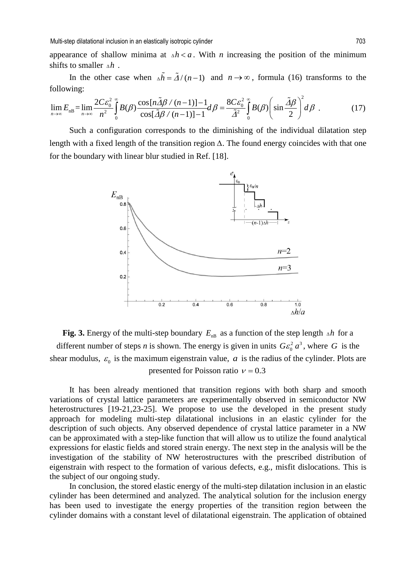Multi-step dilatational inclusion in an elastically isotropic cylinder 703

appearance of shallow minima at  $\Delta h < a$ . With *n* increasing the position of the minimum shifts to smaller  $\Delta h$ .

In the other case when  $\Delta \tilde{h} = \tilde{\Delta}/(n-1)$  and  $n \to \infty$ , formula (16) transforms to the following:

$$
\lim_{n \to \infty} E_{\text{dB}} = \lim_{n \to \infty} \frac{2C \varepsilon_0^2}{n^2} \int_0^\infty B(\beta) \frac{\cos\left(n\tilde{\Delta}\beta / (n-1)\right) - 1}{\cos\left[\tilde{\Delta}\beta / (n-1)\right] - 1} d\beta = \frac{8C \varepsilon_0^2}{\tilde{\Delta}^2} \int_0^\infty B(\beta) \left(\sin\frac{\tilde{\Delta}\beta}{2}\right)^2 d\beta \tag{17}
$$

Such a configuration corresponds to the diminishing of the individual dilatation step length with a fixed length of the transition region *∆*. The found energy coincides with that one for the boundary with linear blur studied in Ref. [18].



**Fig. 3.** Energy of the multi-step boundary  $E_{nB}$  as a function of the step length  $\Delta h$  for a different number of steps *n* is shown. The energy is given in units  $Ge_0^2 a^3$ , where *G* is the shear modulus,  $\varepsilon_0$  is the maximum eigenstrain value, *a* is the radius of the cylinder. Plots are presented for Poisson ratio  $v = 0.3$ 

It has been already mentioned that transition regions with both sharp and smooth variations of crystal lattice parameters are experimentally observed in semiconductor NW heterostructures [19-21,23-25]. We propose to use the developed in the present study approach for modeling multi-step dilatational inclusions in an elastic cylinder for the description of such objects. Any observed dependence of crystal lattice parameter in a NW can be approximated with a step-like function that will allow us to utilize the found analytical expressions for elastic fields and stored strain energy. The next step in the analysis will be the investigation of the stability of NW heterostructures with the prescribed distribution of eigenstrain with respect to the formation of various defects, e.g., misfit dislocations. This is the subject of our ongoing study.

In conclusion, the stored elastic energy of the multi-step dilatation inclusion in an elastic cylinder has been determined and analyzed. The analytical solution for the inclusion energy has been used to investigate the energy properties of the transition region between the cylinder domains with a constant level of dilatational eigenstrain. The application of obtained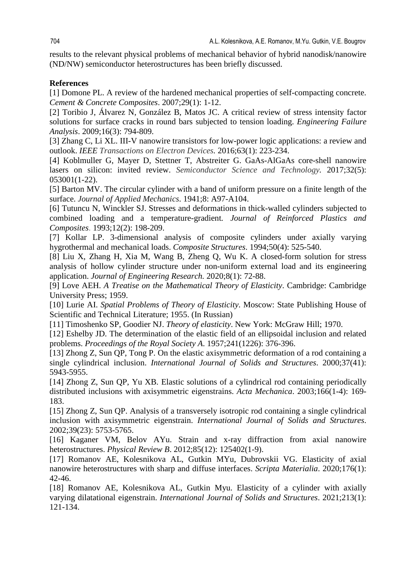results to the relevant physical problems of mechanical behavior of hybrid nanodisk/nanowire (ND/NW) semiconductor heterostructures has been briefly discussed.

# **References**

[1] Domone PL. A review of the hardened mechanical properties of self-compacting concrete. *Cement & Concrete Composites*. 2007;29(1): 1-12.

[2] Toribio J, Álvarez N, González B, Matos JC. A critical review of stress intensity factor solutions for surface cracks in round bars subjected to tension loading. *Engineering Failure Analysis*. 2009;16(3): 794-809.

[3] Zhang C, Li XL. III-V nanowire transistors for low-power logic applications: a review and outlook. *IEEE Transactions on Electron Devices.* 2016;63(1): 223-234.

[4] Koblmuller G, Mayer D, Stettner T, Abstreiter G. GaAs-AlGaAs core-shell nanowire lasers on silicon: invited review. *Semiconductor Science and Technology.* 2017;32(5): 053001(1-22).

[5] Barton MV. The circular cylinder with a band of uniform pressure on a finite length of the surface. *Journal of Applied Mechanics*. 1941;8: A97-A104.

[6] Tutuncu N, Winckler SJ. Stresses and deformations in thick-walled cylinders subjected to combined loading and a temperature-gradient*. Journal of Reinforced Plastics and Composites*. 1993;12(2): 198-209.

[7] Kollar LP. 3-dimensional analysis of composite cylinders under axially varying hygrothermal and mechanical loads. *Composite Structures*. 1994;50(4): 525-540.

[8] Liu X, Zhang H, Xia M, Wang B, Zheng Q, Wu K. A closed-form solution for stress analysis of hollow cylinder structure under non-uniform external load and its engineering application. *Journal of Engineering Research.* 2020;8(1): 72-88.

[9] Love AEH. *A Treatise on the Mathematical Theory of Elasticity*. Cambridge: Cambridge University Press; 1959.

[10] Lurie AI. *Spatial Problems of Theory of Elasticity*. Moscow: State Publishing House of Scientific and Technical Literature; 1955. (In Russian)

[11] Timoshenko SP, Goodier NJ. *Theory of elasticity*. New York: McGraw Hill; 1970.

[12] Eshelby JD. The determination of the elastic field of an ellipsoidal inclusion and related problems. *Proceedings of the Royal Society A*. 1957;241(1226): 376-396.

[13] Zhong Z, Sun QP, Tong P. On the elastic axisymmetric deformation of a rod containing a single cylindrical inclusion. *International Journal of Solids and Structures*. 2000;37(41): 5943-5955.

[14] Zhong Z, Sun QP, Yu XB. Elastic solutions of a cylindrical rod containing periodically distributed inclusions with axisymmetric eigenstrains. *Acta Mechanica*. 2003;166(1-4): 169- 183.

[15] Zhong Z, Sun QP. Analysis of a transversely isotropic rod containing a single cylindrical inclusion with axisymmetric eigenstrain. *International Journal of Solids and Structures*. 2002;39(23): 5753-5765.

[16] Kaganer VM, Belov AYu. Strain and x-ray diffraction from axial nanowire heterostructures. *Physical Review B*. 2012;85(12): 125402(1-9).

[17] Romanov AE, Kolesnikova AL, Gutkin MYu, Dubrovskii VG. Elasticity of axial nanowire heterostructures with sharp and diffuse interfaces. *Scripta Materialia*. 2020;176(1): 42-46.

[18] Romanov AE, Kolesnikova AL, Gutkin Myu. Elasticity of a cylinder with axially varying dilatational eigenstrain. *International Journal of Solids and Structures*. 2021;213(1): 121-134.